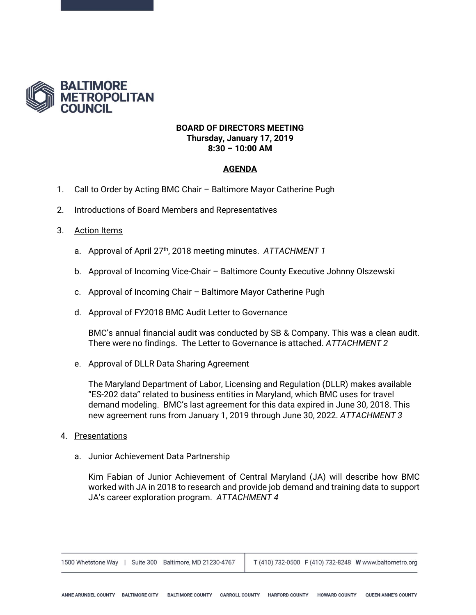

# **BOARD OF DIRECTORS MEETING Thursday, January 17, 2019 8:30 – 10:00 AM**

# **AGENDA**

- 1. Call to Order by Acting BMC Chair Baltimore Mayor Catherine Pugh
- 2. Introductions of Board Members and Representatives

# 3. Action Items

- a. Approval of April 27<sup>th</sup>, 2018 meeting minutes. ATTACHMENT 1
- b. Approval of Incoming Vice-Chair Baltimore County Executive Johnny Olszewski
- c. Approval of Incoming Chair Baltimore Mayor Catherine Pugh
- d. Approval of FY2018 BMC Audit Letter to Governance

BMC's annual financial audit was conducted by SB & Company. This was a clean audit. There were no findings. The Letter to Governance is attached. *ATTACHMENT 2*

e. Approval of DLLR Data Sharing Agreement

The Maryland Department of Labor, Licensing and Regulation (DLLR) makes available "ES-202 data" related to business entities in Maryland, which BMC uses for travel demand modeling. BMC's last agreement for this data expired in June 30, 2018. This new agreement runs from January 1, 2019 through June 30, 2022. *ATTACHMENT 3* 

- 4. Presentations
	- a. Junior Achievement Data Partnership

Kim Fabian of Junior Achievement of Central Maryland (JA) will describe how BMC worked with JA in 2018 to research and provide job demand and training data to support JA's career exploration program. *ATTACHMENT 4*